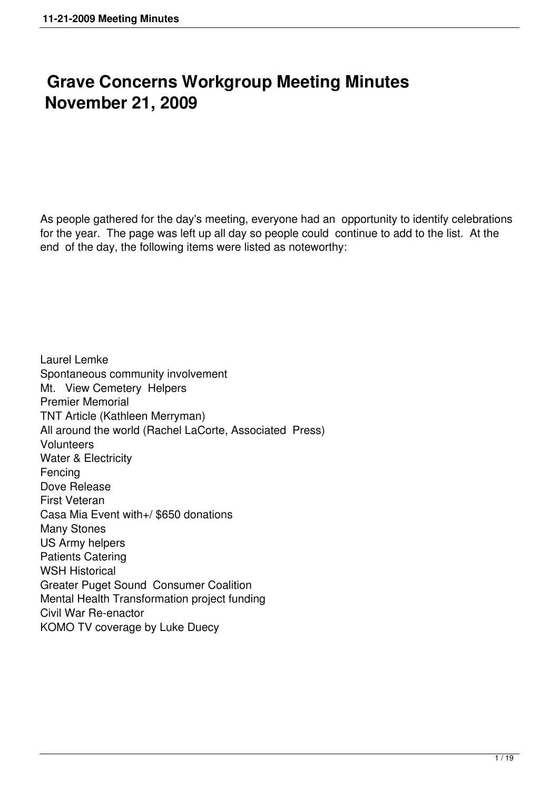# **Grave Concerns Workgroup Meeting Minutes November 21, 2009**

As people gathered for the day's meeting, everyone had an opportunity to identify celebrations for the year. The page was left up all day so people could continue to add to the list. At the end of the day, the following items were listed as noteworthy:

Laurel Lemke Spontaneous community involvement Mt. View Cemetery Helpers Premier Memorial TNT Article (Kathleen Merryman) All around the world (Rachel LaCorte, Associated Press) **Volunteers** Water & Electricity Fencing Dove Release First Veteran Casa Mia Event with+/ \$650 donations Many Stones US Army helpers Patients Catering WSH Historical Greater Puget Sound Consumer Coalition Mental Health Transformation project funding Civil War Re-enactor KOMO TV coverage by Luke Duecy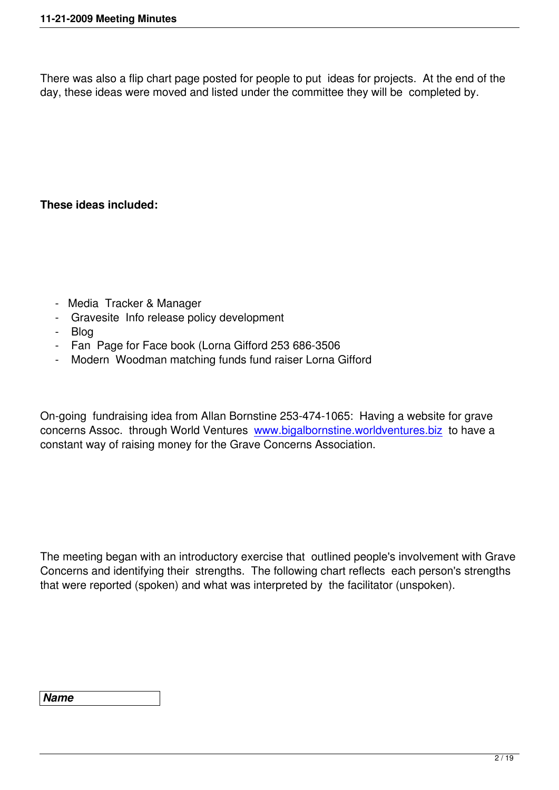There was also a flip chart page posted for people to put ideas for projects. At the end of the day, these ideas were moved and listed under the committee they will be completed by.

# **These ideas included:**

- Media Tracker & Manager
- Gravesite Info release policy development
- Blog
- Fan Page for Face book (Lorna Gifford 253 686-3506
- Modern Woodman matching funds fund raiser Lorna Gifford

On-going fundraising idea from Allan Bornstine 253-474-1065: Having a website for grave concerns Assoc. through World Ventures www.bigalbornstine.worldventures.biz to have a constant way of raising money for the Grave Concerns Association.

The meeting began with an introductory exercise that outlined people's involvement with Grave Concerns and identifying their strengths. The following chart reflects each person's strengths that were reported (spoken) and what was interpreted by the facilitator (unspoken).

#### *Name*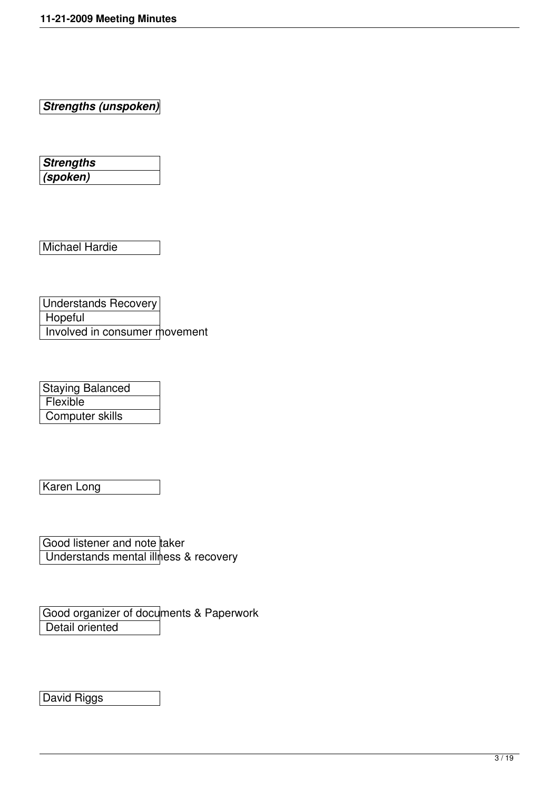*Strengths (unspoken)*

*Strengths (spoken)*

Michael Hardie

Understands Recovery **Hopeful** Involved in consumer movement

Staying Balanced **Flexible** Computer skills

Karen Long

Good listener and note taker Understands mental illness & recovery

Good organizer of documents & Paperwork Detail oriented

David Riggs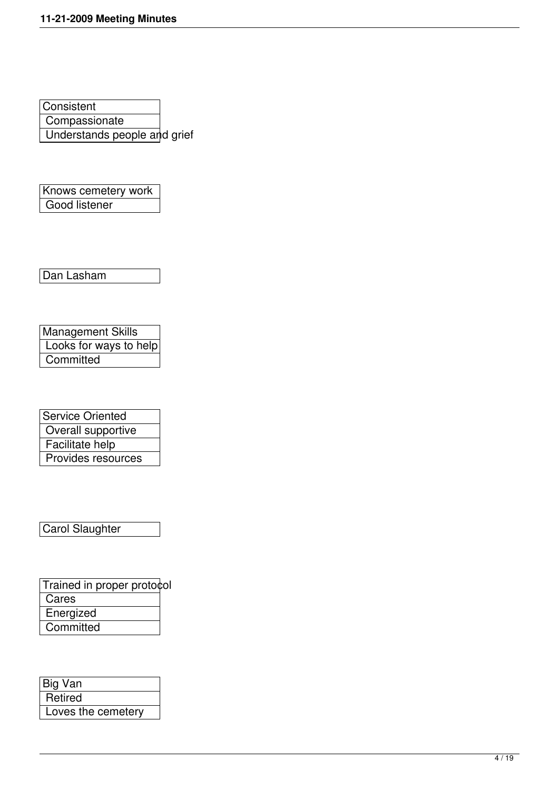**Consistent Compassionate** Understands people and grief

Knows cemetery work Good listener

Dan Lasham

Management Skills Looks for ways to help Committed

| <b>Service Oriented</b> |
|-------------------------|
| Overall supportive      |
| Facilitate help         |
| Provides resources      |

Carol Slaughter

Trained in proper protocol **Cares Energized Committed** 

| Big Van            |  |
|--------------------|--|
| Retired            |  |
| Loves the cemetery |  |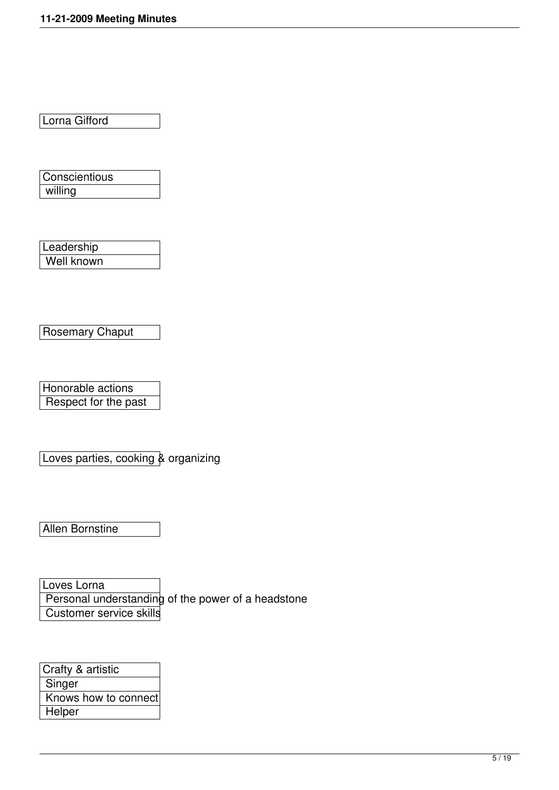Lorna Gifford

**Conscientious** willing

**Leadership** Well known

Rosemary Chaput

Honorable actions Respect for the past

Loves parties, cooking & organizing

Allen Bornstine

Loves Lorna Personal understanding of the power of a headstone Customer service skills

| Crafty & artistic    |
|----------------------|
| Singer               |
| Knows how to connect |
| Helper               |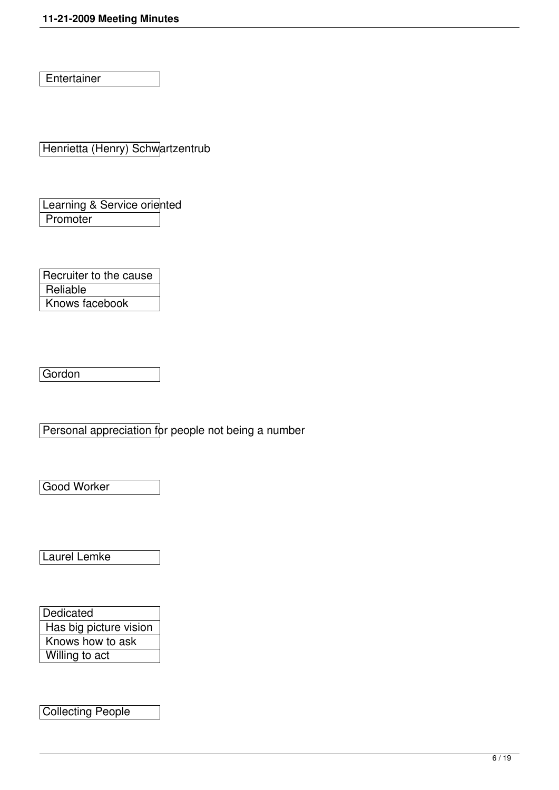**Entertainer** 

Henrietta (Henry) Schwartzentrub

Learning & Service oriented **Promoter** 

Recruiter to the cause **Reliable** Knows facebook

Gordon

Personal appreciation for people not being a number

Good Worker

Laurel Lemke

**Dedicated**  Has big picture vision Knows how to ask Willing to act

Collecting People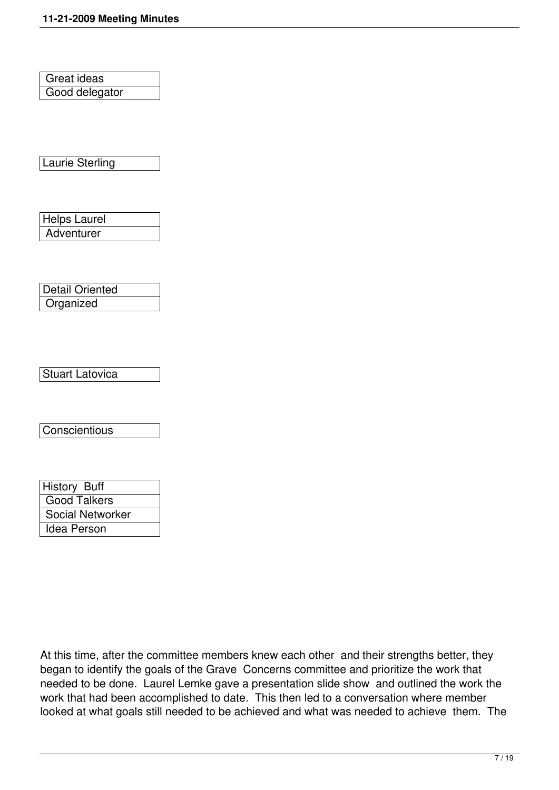Great ideas Good delegator

Laurie Sterling

Helps Laurel **Adventurer** 

| <b>Detail Oriented</b> |  |
|------------------------|--|
| Organized              |  |

Stuart Latovica

**Conscientious** 

| <b>History Buff</b> |
|---------------------|
| <b>Good Talkers</b> |
| Social Networker    |
| Idea Person         |

At this time, after the committee members knew each other and their strengths better, they began to identify the goals of the Grave Concerns committee and prioritize the work that needed to be done. Laurel Lemke gave a presentation slide show and outlined the work the work that had been accomplished to date. This then led to a conversation where member looked at what goals still needed to be achieved and what was needed to achieve them. The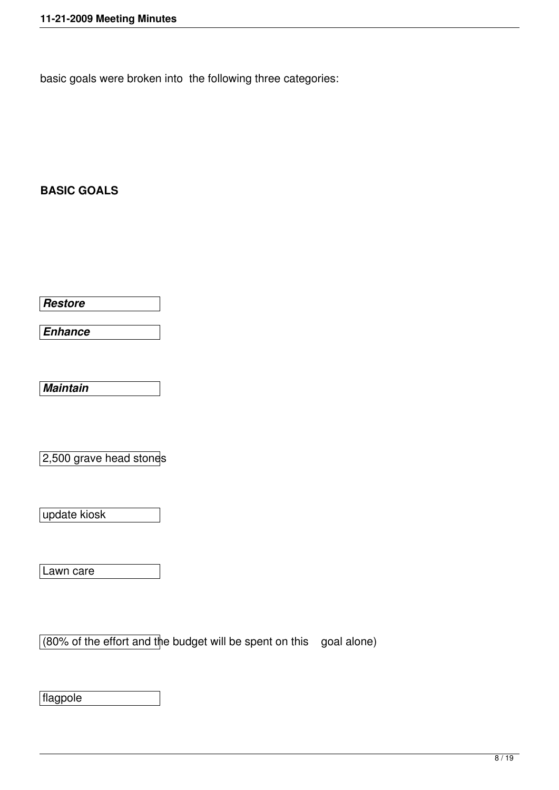basic goals were broken into the following three categories:

# **BASIC GOALS**

*Restore*

*Enhance*

*Maintain*

2,500 grave head stones

update kiosk

Lawn care

 $(80\%$  of the effort and the budget will be spent on this goal alone)

flagpole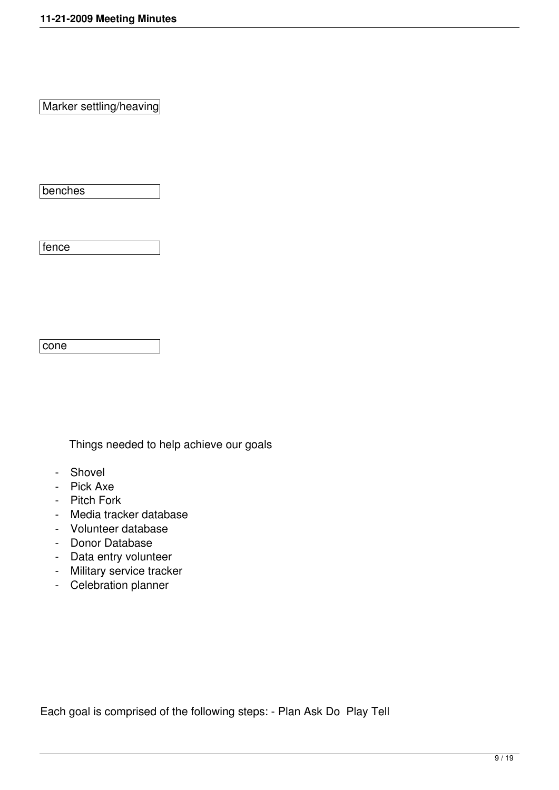Marker settling/heaving

benches

fence

cone

Things needed to help achieve our goals

- Shovel
- Pick Axe
- Pitch Fork
- Media tracker database
- Volunteer database
- Donor Database
- Data entry volunteer
- Military service tracker
- Celebration planner

Each goal is comprised of the following steps: - Plan Ask Do Play Tell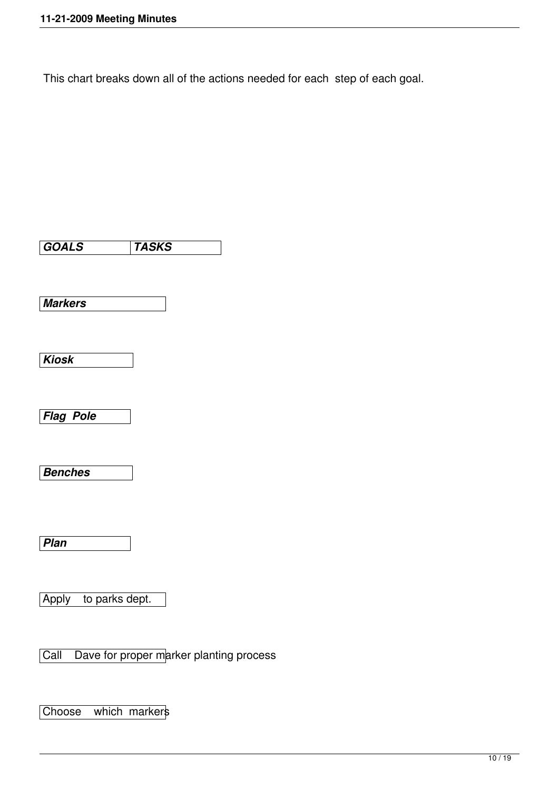This chart breaks down all of the actions needed for each step of each goal.

*GOALS TASKS Markers Kiosk Flag Pole Benches Plan*  Apply to parks dept.

Call Dave for proper marker planting process

Choose which markers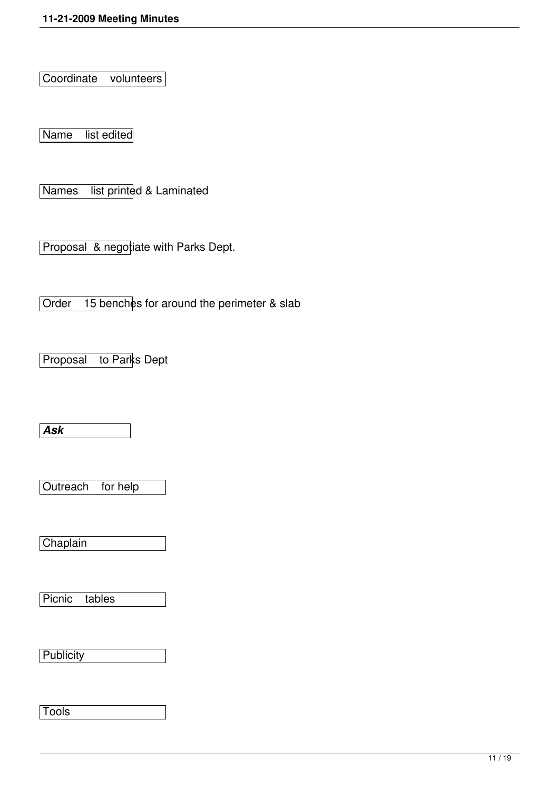Coordinate volunteers

Name list edited

Names list printed & Laminated

Proposal & negotiate with Parks Dept.

Order 15 benches for around the perimeter & slab

Proposal to Parks Dept

*Ask*

Outreach for help

Chaplain

Picnic tables

**Publicity** 

**Tools**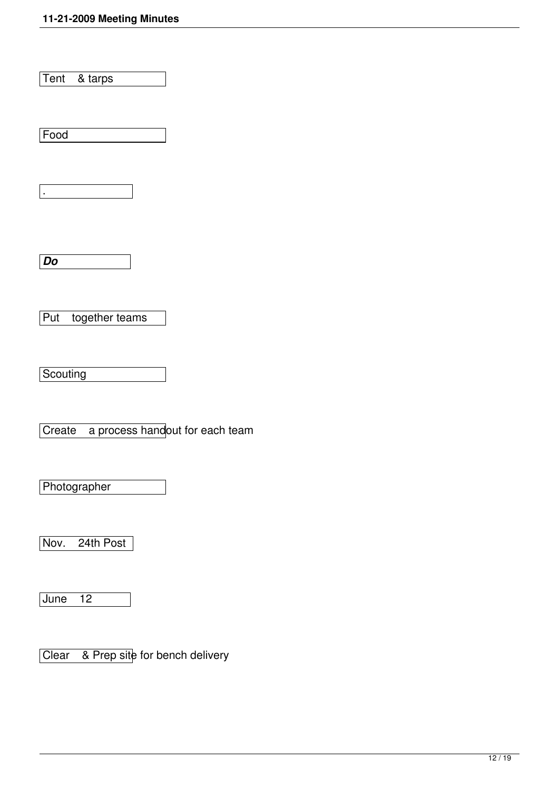Tent & tarps

Food

.

*Do*

Put together teams

Scouting

Create a process handout for each team

**Photographer** 

Nov. 24th Post

June 12

Clear & Prep site for bench delivery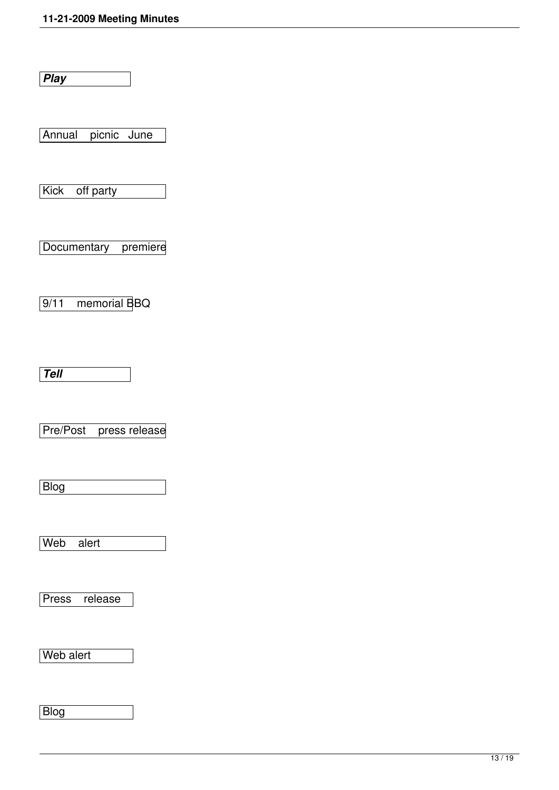*Play*

Annual picnic June

Kick off party

Documentary premiere

9/11 memorial BBQ

*Tell*

Pre/Post press release

Blog

Web alert

Press release

Web alert

Blog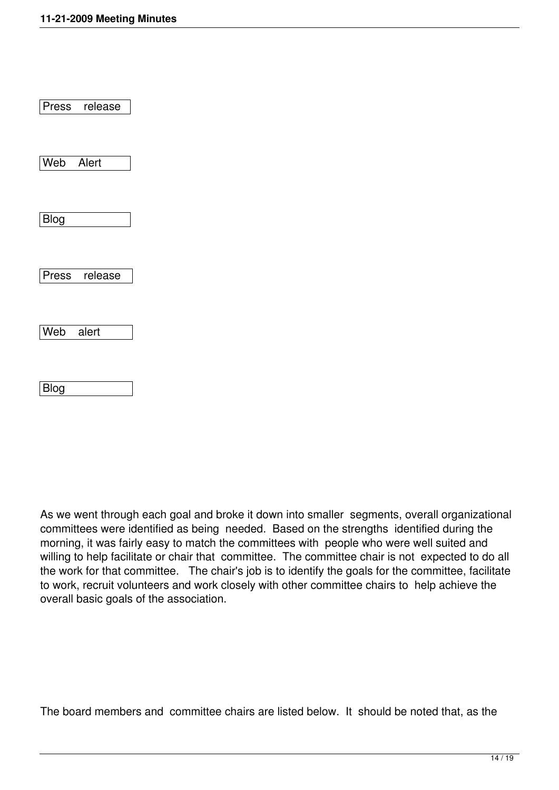|             | Press release |  |
|-------------|---------------|--|
|             |               |  |
| Web Alert   |               |  |
|             |               |  |
| <b>Blog</b> |               |  |
|             |               |  |
|             | Press release |  |
|             |               |  |
| Web alert   |               |  |
|             |               |  |
| Blog        |               |  |

As we went through each goal and broke it down into smaller segments, overall organizational committees were identified as being needed. Based on the strengths identified during the morning, it was fairly easy to match the committees with people who were well suited and willing to help facilitate or chair that committee. The committee chair is not expected to do all the work for that committee. The chair's job is to identify the goals for the committee, facilitate to work, recruit volunteers and work closely with other committee chairs to help achieve the overall basic goals of the association.

The board members and committee chairs are listed below. It should be noted that, as the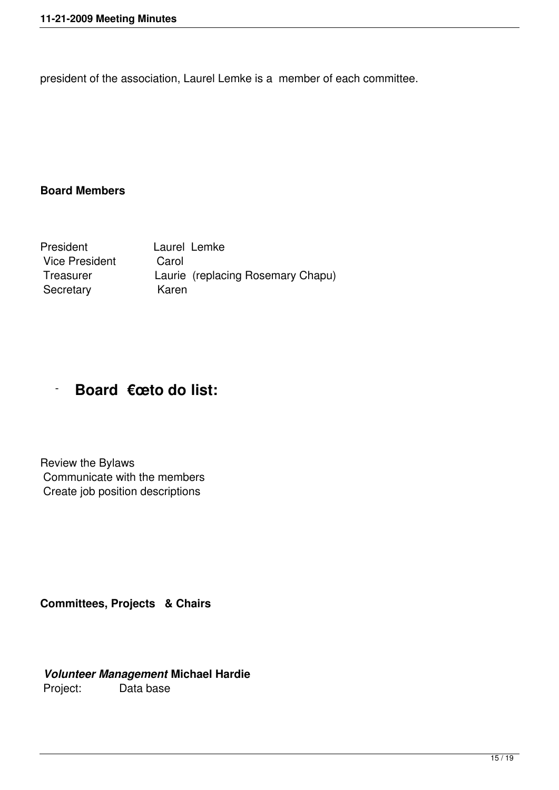president of the association, Laurel Lemke is a member of each committee.

# **Board Members**

President Laurel Lemke Vice President Carol Treasurer Laurie (replacing Rosemary Chapu) Secretary Karen

# - **Board €œto do list:**

Review the Bylaws Communicate with the members Create job position descriptions

**Committees, Projects & Chairs**

#### *Volunteer Management* **Michael Hardie** Project: Data base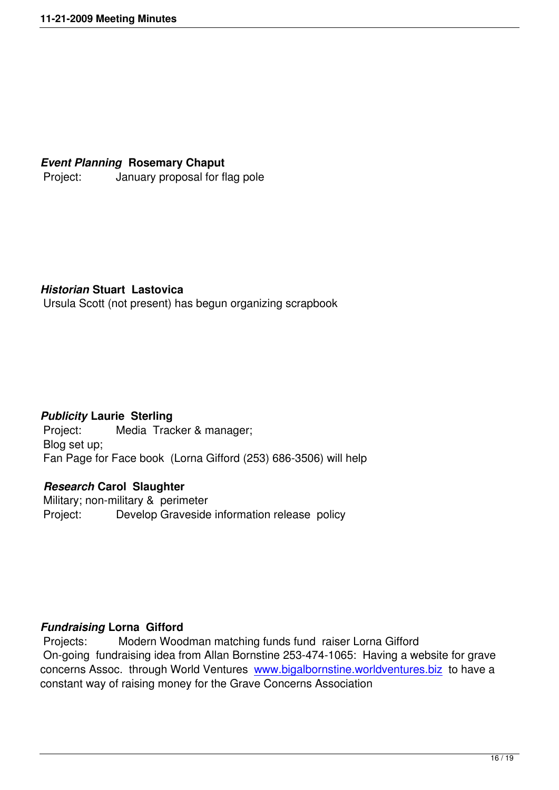#### *Event Planning* **Rosemary Chaput**

Project: January proposal for flag pole

#### *Historian* **Stuart Lastovica**

Ursula Scott (not present) has begun organizing scrapbook

#### *Publicity* **Laurie Sterling**

 Project: Media Tracker & manager; Blog set up; Fan Page for Face book (Lorna Gifford (253) 686-3506) will help

# *Research* **Carol Slaughter**

 Military; non-military & perimeter Project: Develop Graveside information release policy

# *Fundraising* **Lorna Gifford**

 Projects: Modern Woodman matching funds fund raiser Lorna Gifford On-going fundraising idea from Allan Bornstine 253-474-1065: Having a website for grave concerns Assoc. through World Ventures www.bigalbornstine.worldventures.biz to have a constant way of raising money for the Grave Concerns Association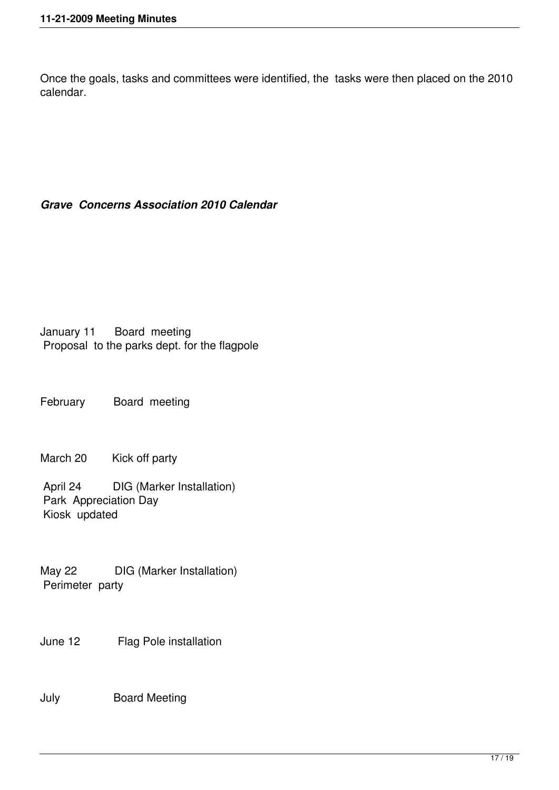Once the goals, tasks and committees were identified, the tasks were then placed on the 2010 calendar.

# *Grave Concerns Association 2010 Calendar*

January 11 Board meeting Proposal to the parks dept. for the flagpole

February Board meeting

March 20 Kick off party

 April 24 DIG (Marker Installation) Park Appreciation Day Kiosk updated

May 22 DIG (Marker Installation) Perimeter party

June 12 Flag Pole installation

July Board Meeting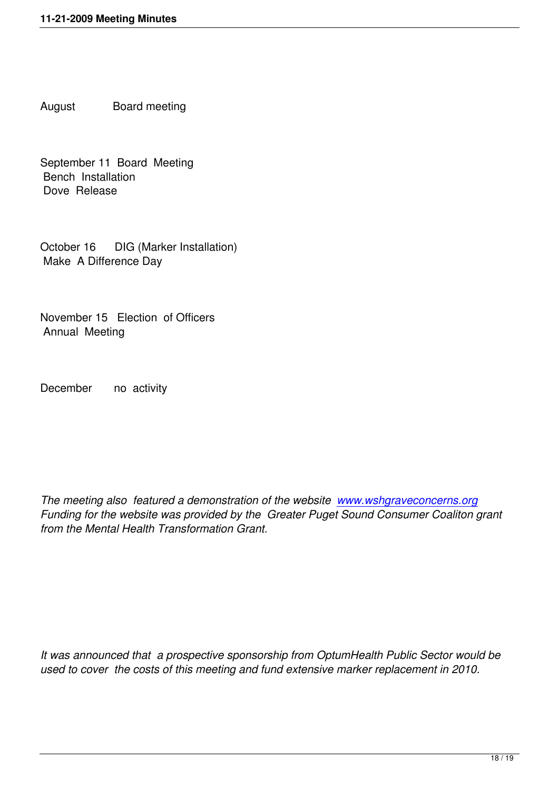August Board meeting

September 11 Board Meeting Bench Installation Dove Release

October 16 DIG (Marker Installation) Make A Difference Day

November 15 Election of Officers Annual Meeting

December no activity

*The meeting also featured a demonstration of the website www.wshgraveconcerns.org Funding for the website was provided by the Greater Puget Sound Consumer Coaliton grant from the Mental Health Transformation Grant.*

*It was announced that a prospective sponsorship from OptumHealth Public Sector would be used to cover the costs of this meeting and fund extensive marker replacement in 2010.*